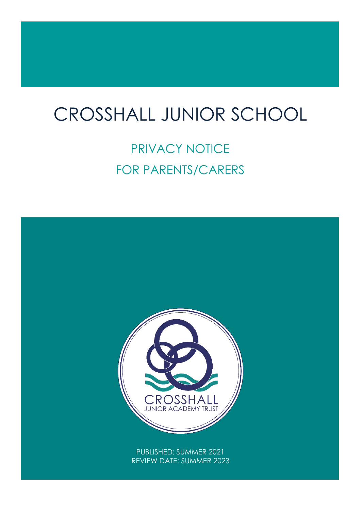## $\overline{1}$ CROSSHALL JUNIOR SCHOOL

# PRIVACY NOTICE FOR PARENTS/CARERS

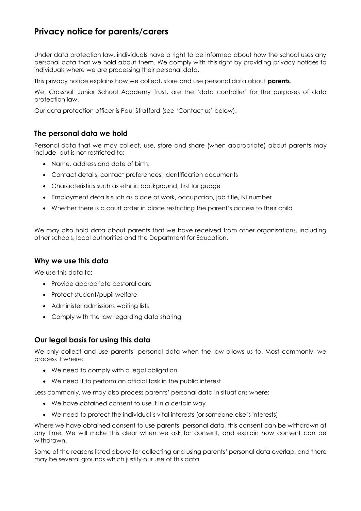### **Privacy notice for parents/carers**

Under data protection law, individuals have a right to be informed about how the school uses any personal data that we hold about them. We comply with this right by providing privacy notices to individuals where we are processing their personal data.

This privacy notice explains how we collect, store and use personal data about **parents**.

We, Crosshall Junior School Academy Trust, are the 'data controller' for the purposes of data protection law.

Our data protection officer is Paul Stratford (see 'Contact us' below).

#### **The personal data we hold**

Personal data that we may collect, use, store and share (when appropriate) about parents may include, but is not restricted to:

- Name, address and date of birth,
- Contact details, contact preferences, identification documents
- Characteristics such as ethnic background, first language
- Employment details such as place of work, occupation, job title, NI number
- Whether there is a court order in place restricting the parent's access to their child

We may also hold data about parents that we have received from other organisations, including other schools, local authorities and the Department for Education.

#### **Why we use this data**

We use this data to:

- Provide appropriate pastoral care
- Protect student/pupil welfare
- Administer admissions waiting lists
- Comply with the law regarding data sharing

#### **Our legal basis for using this data**

We only collect and use parents' personal data when the law allows us to. Most commonly, we process it where:

- We need to comply with a legal obligation
- We need it to perform an official task in the public interest

Less commonly, we may also process parents' personal data in situations where:

- We have obtained consent to use it in a certain way
- We need to protect the individual's vital interests (or someone else's interests)

Where we have obtained consent to use parents' personal data, this consent can be withdrawn at any time. We will make this clear when we ask for consent, and explain how consent can be withdrawn.

Some of the reasons listed above for collecting and using parents' personal data overlap, and there may be several grounds which justify our use of this data.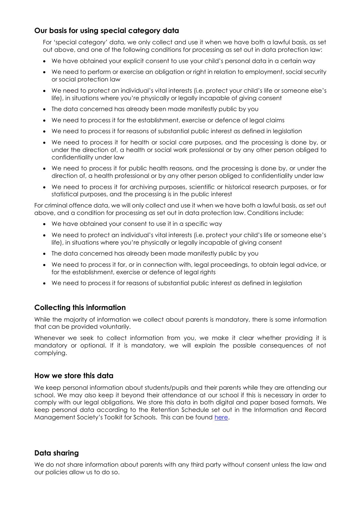#### **Our basis for using special category data**

For 'special category' data, we only collect and use it when we have both a lawful basis, as set out above, and one of the following conditions for processing as set out in data protection law:

- We have obtained your explicit consent to use your child's personal data in a certain way
- We need to perform or exercise an obligation or right in relation to employment, social security or social protection law
- We need to protect an individual's vital interests (i.e. protect your child's life or someone else's life), in situations where you're physically or legally incapable of giving consent
- The data concerned has already been made manifestly public by you
- We need to process it for the establishment, exercise or defence of legal claims
- We need to process it for reasons of substantial public interest as defined in legislation
- We need to process it for health or social care purposes, and the processing is done by, or under the direction of, a health or social work professional or by any other person obliged to confidentiality under law
- We need to process it for public health reasons, and the processing is done by, or under the direction of, a health professional or by any other person obliged to confidentiality under law
- We need to process it for archiving purposes, scientific or historical research purposes, or for statistical purposes, and the processing is in the public interest

For criminal offence data, we will only collect and use it when we have both a lawful basis, as set out above, and a condition for processing as set out in data protection law. Conditions include:

- We have obtained your consent to use it in a specific way
- We need to protect an individual's vital interests (i.e. protect your child's life or someone else's life), in situations where you're physically or legally incapable of giving consent
- The data concerned has already been made manifestly public by you
- We need to process it for, or in connection with, legal proceedings, to obtain legal advice, or for the establishment, exercise or defence of legal rights
- We need to process it for reasons of substantial public interest as defined in legislation

#### **Collecting this information**

While the majority of information we collect about parents is mandatory, there is some information that can be provided voluntarily.

Whenever we seek to collect information from you, we make it clear whether providing it is mandatory or optional. If it is mandatory, we will explain the possible consequences of not complying.

#### **How we store this data**

We keep personal information about students/pupils and their parents while they are attending our school. We may also keep it beyond their attendance at our school if this is necessary in order to comply with our legal obligations. We store this data in both digital and paper based formats. We keep personal data according to the Retention Schedule set out in the Information and Record Management Society's Toolkit for Schools. This can be found [here.](http://irms.org.uk/?page=schoolstoolkit&terms=%22toolkit+and+schools%22)

#### **Data sharing**

We do not share information about parents with any third party without consent unless the law and our policies allow us to do so.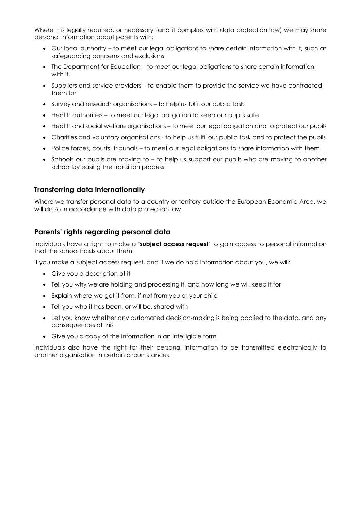Where it is legally required, or necessary (and it complies with data protection law) we may share personal information about parents with:

- Our local authority to meet our legal obligations to share certain information with it, such as safeguarding concerns and exclusions
- The Department for Education to meet our legal obligations to share certain information with it.
- Suppliers and service providers to enable them to provide the service we have contracted them for
- Survey and research organisations to help us fulfil our public task
- Health authorities to meet our legal obligation to keep our pupils safe
- Health and social welfare organisations to meet our legal obligation and to protect our pupils
- Charities and voluntary organisations to help us fulfil our public task and to protect the pupils
- Police forces, courts, tribunals to meet our legal obligations to share information with them
- Schools our pupils are moving to to help us support our pupils who are moving to another school by easing the transition process

#### **Transferring data internationally**

Where we transfer personal data to a country or territory outside the European Economic Area, we will do so in accordance with data protection law.

#### **Parents' rights regarding personal data**

Individuals have a right to make a **'subject access request'** to gain access to personal information that the school holds about them.

If you make a subject access request, and if we do hold information about you, we will:

- Give you a description of it
- Tell you why we are holding and processing it, and how long we will keep it for
- Explain where we got it from, if not from you or your child
- Tell you who it has been, or will be, shared with
- Let you know whether any automated decision-making is being applied to the data, and any consequences of this
- Give you a copy of the information in an intelligible form

Individuals also have the right for their personal information to be transmitted electronically to another organisation in certain circumstances.